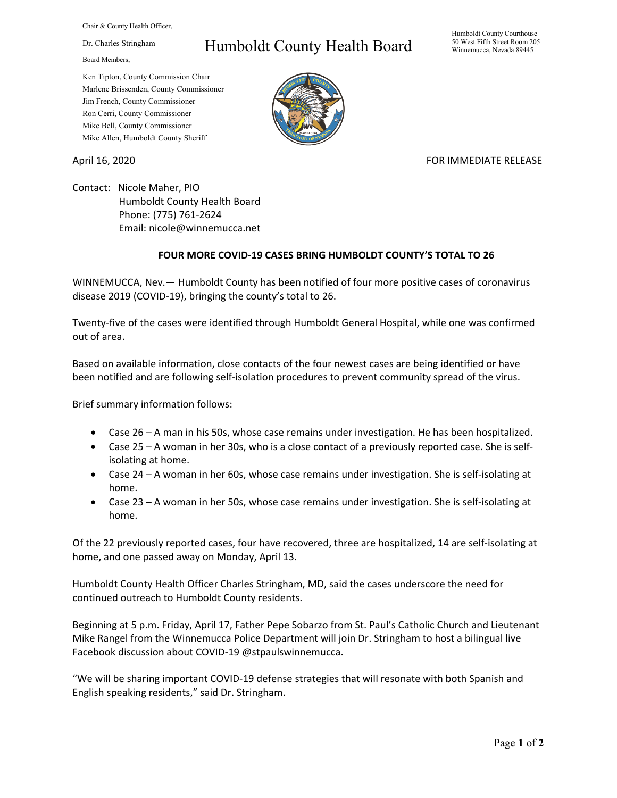Chair & County Health Officer,

Dr. Charles Stringham

Board Members,

## Humboldt County Health Board

Humboldt County Courthouse 50 West Fifth Street Room 205 Winnemucca, Nevada 89445

Ken Tipton, County Commission Chair Marlene Brissenden, County Commissioner Jim French, County Commissioner Ron Cerri, County Commissioner Mike Bell, County Commissioner Mike Allen, Humboldt County Sheriff

April 16, 2020 **FOR IMMEDIATE RELEASE** 

Contact: Nicole Maher, PIO Humboldt County Health Board Phone: (775) 761-2624 Email: nicole@winnemucca.net

## **FOUR MORE COVID-19 CASES BRING HUMBOLDT COUNTY'S TOTAL TO 26**

WINNEMUCCA, Nev.— Humboldt County has been notified of four more positive cases of coronavirus disease 2019 (COVID-19), bringing the county's total to 26.

Twenty-five of the cases were identified through Humboldt General Hospital, while one was confirmed out of area.

Based on available information, close contacts of the four newest cases are being identified or have been notified and are following self-isolation procedures to prevent community spread of the virus.

Brief summary information follows:

- Case 26 A man in his 50s, whose case remains under investigation. He has been hospitalized.
- Case 25 A woman in her 30s, who is a close contact of a previously reported case. She is selfisolating at home.
- Case 24 A woman in her 60s, whose case remains under investigation. She is self-isolating at home.
- Case 23 A woman in her 50s, whose case remains under investigation. She is self-isolating at home.

Of the 22 previously reported cases, four have recovered, three are hospitalized, 14 are self-isolating at home, and one passed away on Monday, April 13.

Humboldt County Health Officer Charles Stringham, MD, said the cases underscore the need for continued outreach to Humboldt County residents.

Beginning at 5 p.m. Friday, April 17, Father Pepe Sobarzo from St. Paul's Catholic Church and Lieutenant Mike Rangel from the Winnemucca Police Department will join Dr. Stringham to host a bilingual live Facebook discussion about COVID-19 @stpaulswinnemucca.

"We will be sharing important COVID-19 defense strategies that will resonate with both Spanish and English speaking residents," said Dr. Stringham.